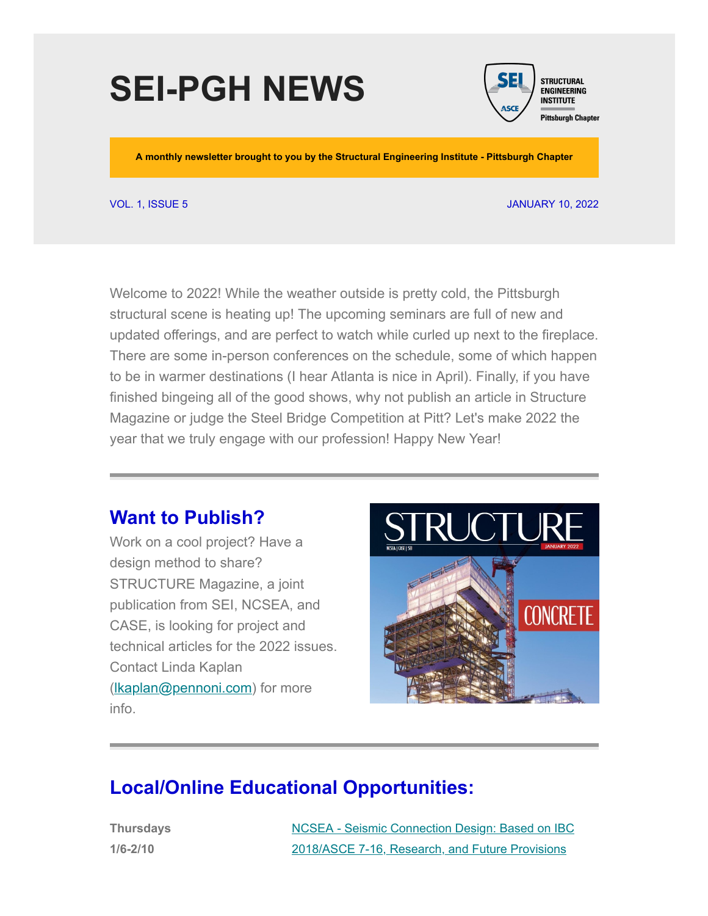# **SEI-PGH NEWS**



**A monthly newsletter brought to you by the Structural Engineering Institute - Pittsburgh Chapter**

VOL. 1, ISSUE 5 JANUARY 10, 2022

Welcome to 2022! While the weather outside is pretty cold, the Pittsburgh structural scene is heating up! The upcoming seminars are full of new and updated offerings, and are perfect to watch while curled up next to the fireplace. There are some in-person conferences on the schedule, some of which happen to be in warmer destinations (I hear Atlanta is nice in April). Finally, if you have finished bingeing all of the good shows, why not publish an article in Structure Magazine or judge the Steel Bridge Competition at Pitt? Let's make 2022 the year that we truly engage with our profession! Happy New Year!

### **Want to Publish?**

Work on a cool project? Have a design method to share? STRUCTURE Magazine, a joint publication from SEI, NCSEA, and CASE, is looking for project and technical articles for the 2022 issues. Contact Linda Kaplan (Ikaplan@pennoni.com) for more info.



## **Local/Online Educational Opportunities:**

**Thursdays 1/6-2/10**

[NCSEA - Seismic Connection Design: Based on IBC](https://www.pathlms.com/ncsea/courses/38211) 2018/ASCE 7-16, Research, and Future Provisions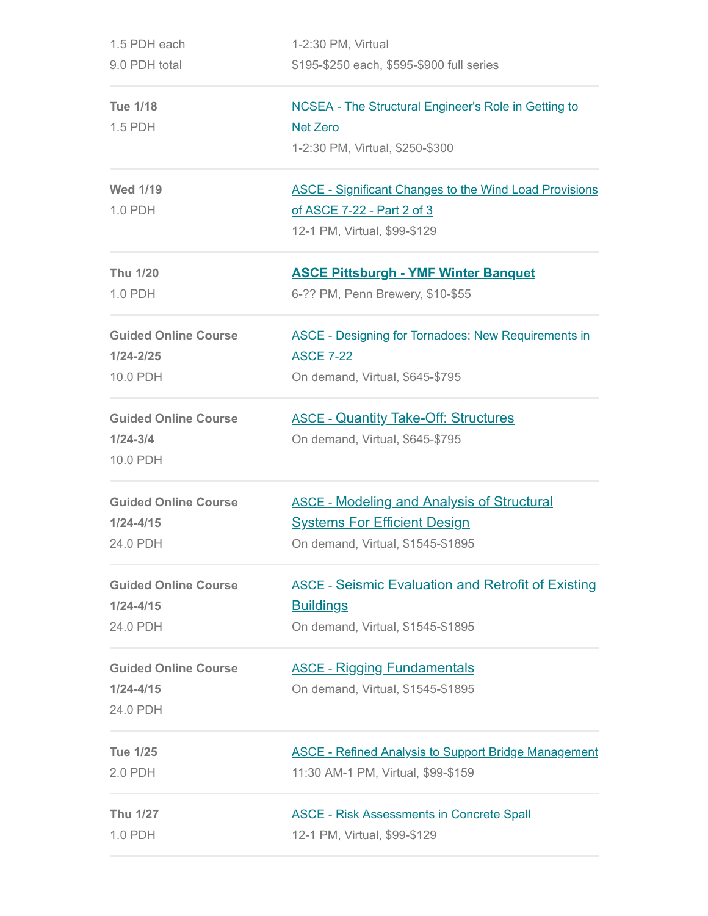| 1.5 PDH each                | 1-2:30 PM, Virtual                                            |  |  |
|-----------------------------|---------------------------------------------------------------|--|--|
| 9.0 PDH total               | \$195-\$250 each, \$595-\$900 full series                     |  |  |
| <b>Tue 1/18</b>             | <b>NCSEA - The Structural Engineer's Role in Getting to</b>   |  |  |
| 1.5 PDH                     | <b>Net Zero</b>                                               |  |  |
|                             | 1-2:30 PM, Virtual, \$250-\$300                               |  |  |
| <b>Wed 1/19</b>             | <b>ASCE - Significant Changes to the Wind Load Provisions</b> |  |  |
| 1.0 PDH                     | of ASCE 7-22 - Part 2 of 3                                    |  |  |
|                             | 12-1 PM, Virtual, \$99-\$129                                  |  |  |
| <b>Thu 1/20</b>             | <b>ASCE Pittsburgh - YMF Winter Banquet</b>                   |  |  |
| 1.0 PDH                     | 6-?? PM, Penn Brewery, \$10-\$55                              |  |  |
| <b>Guided Online Course</b> | <b>ASCE - Designing for Tornadoes: New Requirements in</b>    |  |  |
| $1/24 - 2/25$               | <b>ASCE 7-22</b>                                              |  |  |
| 10.0 PDH                    | On demand, Virtual, \$645-\$795                               |  |  |
| <b>Guided Online Course</b> | <b>ASCE - Quantity Take-Off: Structures</b>                   |  |  |
| $1/24 - 3/4$                | On demand, Virtual, \$645-\$795                               |  |  |
| 10.0 PDH                    |                                                               |  |  |
| <b>Guided Online Course</b> | <b>ASCE - Modeling and Analysis of Structural</b>             |  |  |
| $1/24 - 4/15$               | <b>Systems For Efficient Design</b>                           |  |  |
| 24.0 PDH                    | On demand, Virtual, \$1545-\$1895                             |  |  |
| <b>Guided Online Course</b> | <b>ASCE - Seismic Evaluation and Retrofit of Existing</b>     |  |  |
| $1/24 - 4/15$               | <b>Buildings</b>                                              |  |  |
| 24.0 PDH                    | On demand, Virtual, \$1545-\$1895                             |  |  |
| <b>Guided Online Course</b> | <b>ASCE - Rigging Fundamentals</b>                            |  |  |
| $1/24 - 4/15$               | On demand, Virtual, \$1545-\$1895                             |  |  |
| 24.0 PDH                    |                                                               |  |  |
| <b>Tue 1/25</b>             | <b>ASCE - Refined Analysis to Support Bridge Management</b>   |  |  |
| 2.0 PDH                     | 11:30 AM-1 PM, Virtual, \$99-\$159                            |  |  |
| Thu 1/27                    | <b>ASCE - Risk Assessments in Concrete Spall</b>              |  |  |
| 1.0 PDH                     | 12-1 PM, Virtual, \$99-\$129                                  |  |  |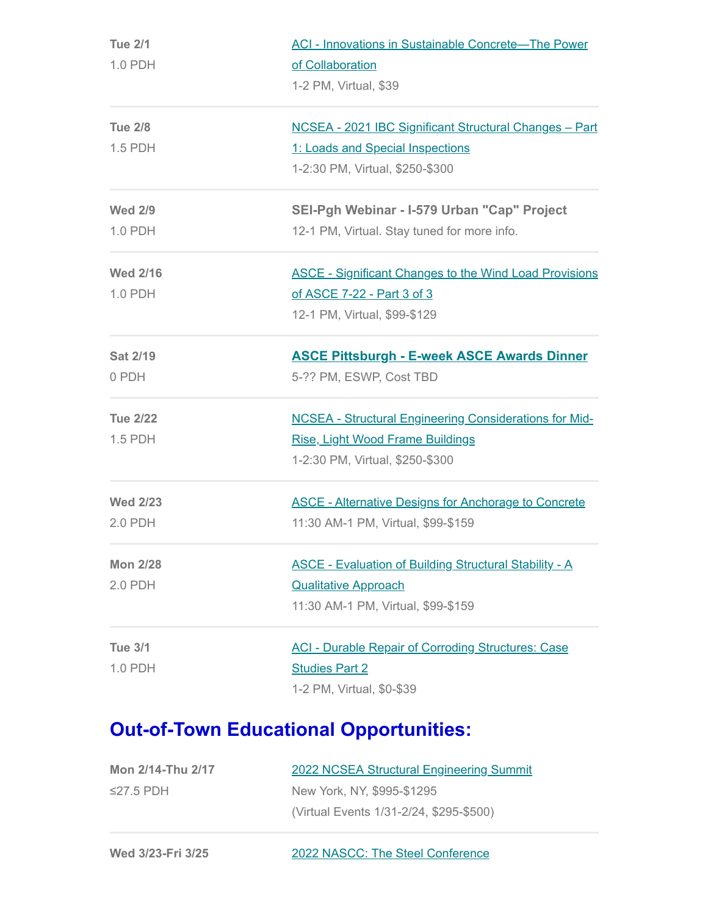| <b>Tue 2/1</b>  | <b>ACI - Innovations in Sustainable Concrete-The Power</b>    |  |  |
|-----------------|---------------------------------------------------------------|--|--|
| 1.0 PDH         | of Collaboration                                              |  |  |
|                 | 1-2 PM, Virtual, \$39                                         |  |  |
| <b>Tue 2/8</b>  | NCSEA - 2021 IBC Significant Structural Changes - Part        |  |  |
| 1.5 PDH         | 1: Loads and Special Inspections                              |  |  |
|                 | 1-2:30 PM, Virtual, \$250-\$300                               |  |  |
| <b>Wed 2/9</b>  | SEI-Pgh Webinar - I-579 Urban "Cap" Project                   |  |  |
| 1.0 PDH         | 12-1 PM, Virtual. Stay tuned for more info.                   |  |  |
| <b>Wed 2/16</b> | <b>ASCE - Significant Changes to the Wind Load Provisions</b> |  |  |
| 1.0 PDH         | of ASCE 7-22 - Part 3 of 3                                    |  |  |
|                 | 12-1 PM, Virtual, \$99-\$129                                  |  |  |
| <b>Sat 2/19</b> | <b>ASCE Pittsburgh - E-week ASCE Awards Dinner</b>            |  |  |
| 0 PDH           | 5-?? PM, ESWP, Cost TBD                                       |  |  |
| <b>Tue 2/22</b> | <b>NCSEA - Structural Engineering Considerations for Mid-</b> |  |  |
| 1.5 PDH         | <b>Rise, Light Wood Frame Buildings</b>                       |  |  |
|                 | 1-2:30 PM, Virtual, \$250-\$300                               |  |  |
| <b>Wed 2/23</b> | <b>ASCE - Alternative Designs for Anchorage to Concrete</b>   |  |  |
| 2.0 PDH         | 11:30 AM-1 PM, Virtual, \$99-\$159                            |  |  |
| <b>Mon 2/28</b> | <b>ASCE - Evaluation of Building Structural Stability - A</b> |  |  |
| 2.0 PDH         | <b>Qualitative Approach</b>                                   |  |  |
|                 | 11:30 AM-1 PM, Virtual, \$99-\$159                            |  |  |
| <b>Tue 3/1</b>  | <b>ACI - Durable Repair of Corroding Structures: Case</b>     |  |  |
| 1.0 PDH         | <b>Studies Part 2</b>                                         |  |  |
|                 | 1-2 PM, Virtual, \$0-\$39                                     |  |  |

## **Out-of-Town Educational Opportunities:**

| Mon 2/14-Thu 2/17 | <b>2022 NCSEA Structural Engineering Summit</b> |
|-------------------|-------------------------------------------------|
| $\leq$ 27.5 PDH   | New York, NY, \$995-\$1295                      |
|                   | (Virtual Events 1/31-2/24, \$295-\$500)         |

| Wed 3/23-Fri 3/25 | 2022 NASCC: The Steel Conference |
|-------------------|----------------------------------|
|                   |                                  |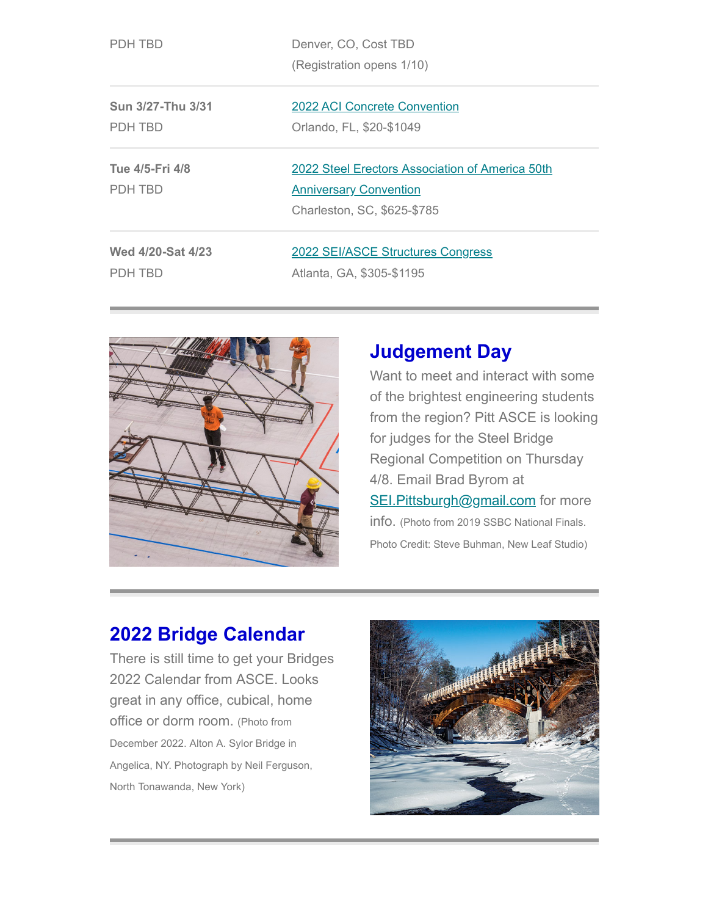|--|--|--|--|--|--|

| PDH TBD | Denver, CO, Cost TBD      |
|---------|---------------------------|
|         | (Registration opens 1/10) |

| Sun 3/27-Thu 3/31 |  |
|-------------------|--|
| PDH TBD           |  |

**Tue 4/5-Fri 4/8**

PDH TBD

2022 [ACI Concrete Convention](https://www.concrete.org/events/conventions/currentconvention.aspx) Orlando, FL, \$20-\$1049

2022 [Steel Erectors Association of America 50th](https://www.seaa.net/seaa-convention--trade-show.html) **Anniversary Convention** Charleston, SC, \$625-\$785

**Wed 4/20-Sat 4/23** PDH TBD

2022 [SEI/ASCE Structures Congress](https://www.structurescongress.org/) Atlanta, GA, \$305-\$1195



## **Judgement Day**

Want to meet and interact with some of the brightest engineering students from the region? Pitt ASCE is looking for judges for the Steel Bridge Regional Competition on Thursday 4/8. Email Brad Byrom at [SEI.Pittsburgh@gmail.com](mailto:SEI.Pittsburgh@gmail.com?subject=Interested%20in%20being%20a%20judge%20for%20Steel%20Bridge) for more info. (Photo from 2019 SSBC National Finals. Photo Credit: Steve Buhman, New Leaf Studio)

## **2022 Bridge Calendar**

There is still time to get your Bridges 2022 Calendar from ASCE. Looks great in any office, cubical, home office or dorm room. (Photo from December 2022. Alton A. Sylor Bridge in Angelica, NY. Photograph by Neil Ferguson, North Tonawanda, New York)